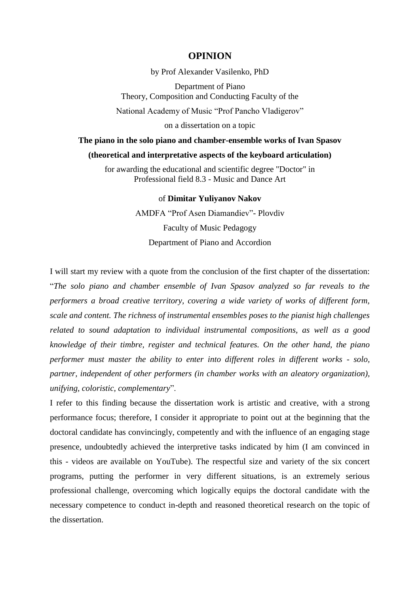## **OPINION**

by Prof Alexander Vasilenko, PhD

Department of Piano Theory, Composition and Conducting Faculty of the

National Academy of Music "Prof Pancho Vladigerov"

on a dissertation on a topic

## **The piano in the solo piano and chamber-ensemble works of Ivan Spasov**

## **(theoretical and interpretative aspects of the keyboard articulation)**

for awarding the educational and scientific degree "Doctor" in Professional field 8.3 - Music and Dance Art

## of **Dimitar Yuliyanov Nakov**

AMDFA "Prof Asen Diamandiev"- Plovdiv Faculty of Music Pedagogy Department of Piano and Accordion

I will start my review with a quote from the conclusion of the first chapter of the dissertation: "*The solo piano and chamber ensemble of Ivan Spasov analyzed so far reveals to the performers a broad creative territory, covering a wide variety of works of different form, scale and content. The richness of instrumental ensembles poses to the pianist high challenges related to sound adaptation to individual instrumental compositions, as well as a good knowledge of their timbre, register and technical features. On the other hand, the piano performer must master the ability to enter into different roles in different works - solo, partner, independent of other performers (in chamber works with an aleatory organization), unifying, coloristic, complementary*".

I refer to this finding because the dissertation work is artistic and creative, with a strong performance focus; therefore, I consider it appropriate to point out at the beginning that the doctoral candidate has convincingly, competently and with the influence of an engaging stage presence, undoubtedly achieved the interpretive tasks indicated by him (I am convinced in this - videos are available on YouTube). The respectful size and variety of the six concert programs, putting the performer in very different situations, is an extremely serious professional challenge, overcoming which logically equips the doctoral candidate with the necessary competence to conduct in-depth and reasoned theoretical research on the topic of the dissertation.